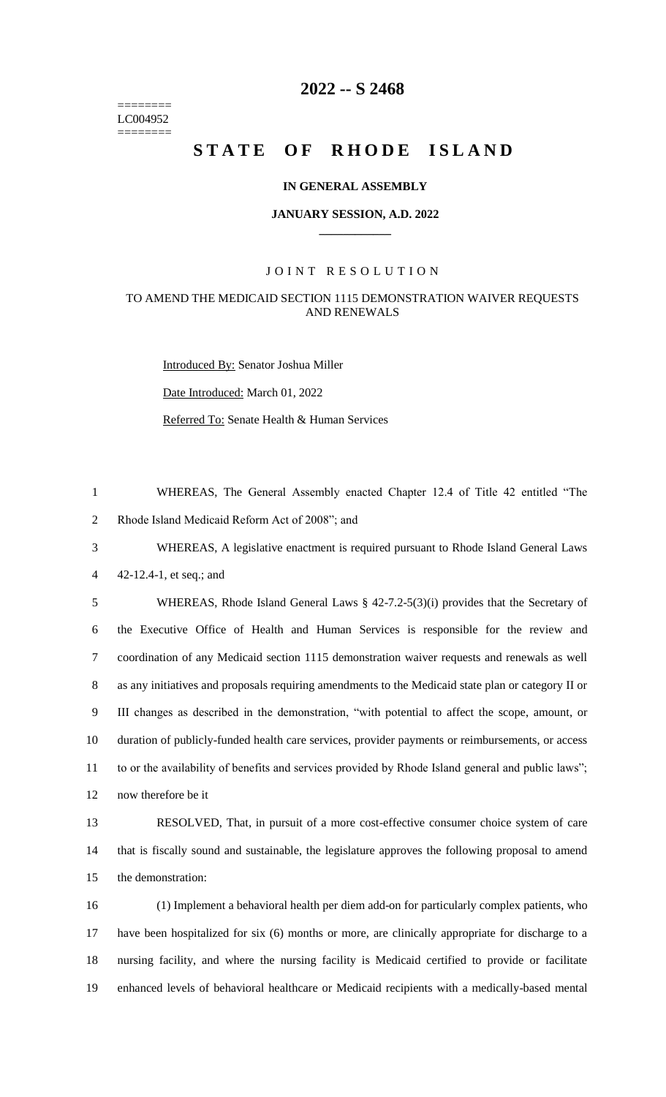======== LC004952 ========

# **-- S 2468**

# STATE OF RHODE ISLAND

#### **IN GENERAL ASSEMBLY**

#### **JANUARY SESSION, A.D. 2022 \_\_\_\_\_\_\_\_\_\_\_\_**

### JOINT RESOLUTION

## TO AMEND THE MEDICAID SECTION 1115 DEMONSTRATION WAIVER REQUESTS AND RENEWALS

Introduced By: Senator Joshua Miller

Date Introduced: March 01, 2022

Referred To: Senate Health & Human Services

 WHEREAS, The General Assembly enacted Chapter 12.4 of Title 42 entitled "The Rhode Island Medicaid Reform Act of 2008"; and

 WHEREAS, A legislative enactment is required pursuant to Rhode Island General Laws 42-12.4-1, et seq.; and

 WHEREAS, Rhode Island General Laws § 42-7.2-5(3)(i) provides that the Secretary of the Executive Office of Health and Human Services is responsible for the review and coordination of any Medicaid section 1115 demonstration waiver requests and renewals as well as any initiatives and proposals requiring amendments to the Medicaid state plan or category II or III changes as described in the demonstration, "with potential to affect the scope, amount, or duration of publicly-funded health care services, provider payments or reimbursements, or access to or the availability of benefits and services provided by Rhode Island general and public laws"; now therefore be it

 RESOLVED, That, in pursuit of a more cost-effective consumer choice system of care that is fiscally sound and sustainable, the legislature approves the following proposal to amend the demonstration:

 (1) Implement a behavioral health per diem add-on for particularly complex patients, who have been hospitalized for six (6) months or more, are clinically appropriate for discharge to a nursing facility, and where the nursing facility is Medicaid certified to provide or facilitate enhanced levels of behavioral healthcare or Medicaid recipients with a medically-based mental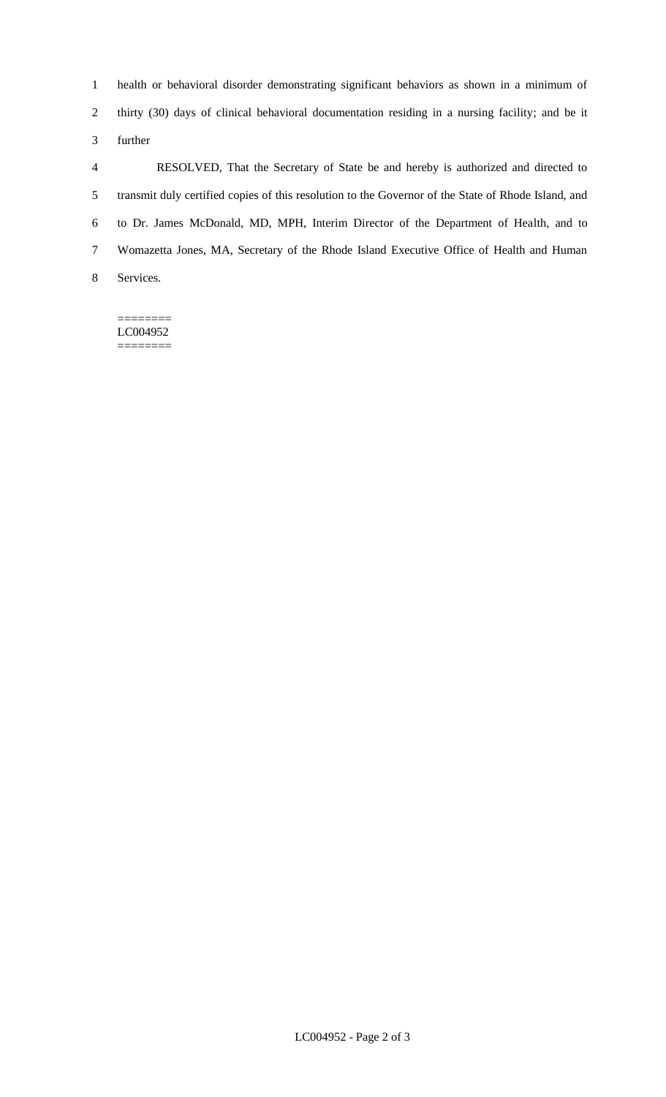health or behavioral disorder demonstrating significant behaviors as shown in a minimum of thirty (30) days of clinical behavioral documentation residing in a nursing facility; and be it further

 RESOLVED, That the Secretary of State be and hereby is authorized and directed to transmit duly certified copies of this resolution to the Governor of the State of Rhode Island, and to Dr. James McDonald, MD, MPH, Interim Director of the Department of Health, and to Womazetta Jones, MA, Secretary of the Rhode Island Executive Office of Health and Human Services.

======== LC004952 ========